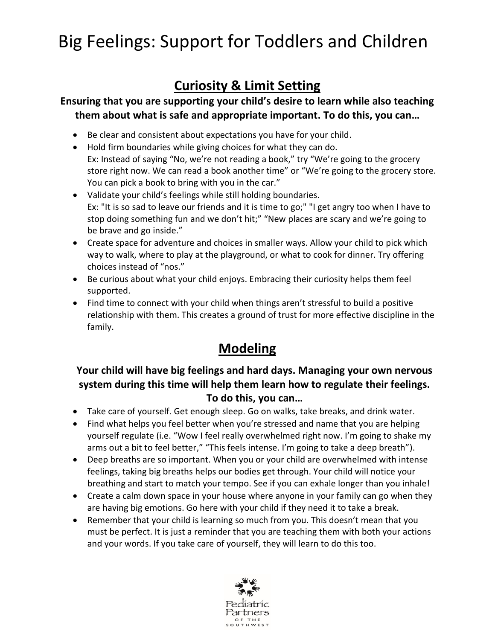# Big Feelings: Support for Toddlers and Children

# **Curiosity & Limit Setting**

#### **Ensuring that you are supporting your child's desire to learn while also teaching them about what is safe and appropriate important. To do this, you can…**

- Be clear and consistent about expectations you have for your child.
- Hold firm boundaries while giving choices for what they can do. Ex: Instead of saying "No, we're not reading a book," try "We're going to the grocery store right now. We can read a book another time" or "We're going to the grocery store. You can pick a book to bring with you in the car."
- Validate your child's feelings while still holding boundaries. Ex: "It is so sad to leave our friends and it is time to go;" "I get angry too when I have to stop doing something fun and we don't hit;" "New places are scary and we're going to be brave and go inside."
- Create space for adventure and choices in smaller ways. Allow your child to pick which way to walk, where to play at the playground, or what to cook for dinner. Try offering choices instead of "nos."
- Be curious about what your child enjoys. Embracing their curiosity helps them feel supported.
- Find time to connect with your child when things aren't stressful to build a positive relationship with them. This creates a ground of trust for more effective discipline in the family.

# **Modeling**

#### **Your child will have big feelings and hard days. Managing your own nervous system during this time will help them learn how to regulate their feelings. To do this, you can…**

- Take care of yourself. Get enough sleep. Go on walks, take breaks, and drink water.
- Find what helps you feel better when you're stressed and name that you are helping yourself regulate (i.e. "Wow I feel really overwhelmed right now. I'm going to shake my arms out a bit to feel better," "This feels intense. I'm going to take a deep breath").
- Deep breaths are so important. When you or your child are overwhelmed with intense feelings, taking big breaths helps our bodies get through. Your child will notice your breathing and start to match your tempo. See if you can exhale longer than you inhale!
- Create a calm down space in your house where anyone in your family can go when they are having big emotions. Go here with your child if they need it to take a break.
- Remember that your child is learning so much from you. This doesn't mean that you must be perfect. It is just a reminder that you are teaching them with both your actions and your words. If you take care of yourself, they will learn to do this too.